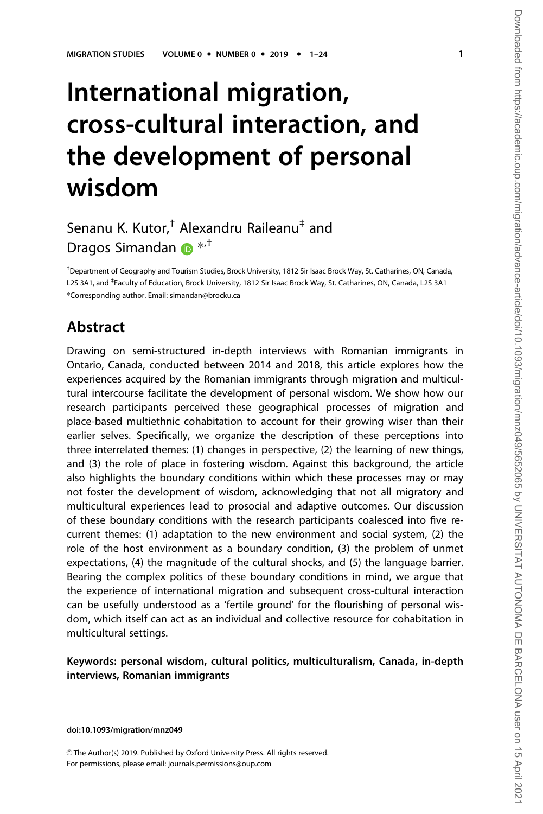# International migration, cross-cultural interaction, and the development of personal wisdom

# Senanu K. Kutor,<sup>†</sup> Alexandru Raileanu<sup>‡</sup> and Dragos Simandan  $\bullet$  \*<sup>+</sup>

† Department of Geography and Tourism Studies, Brock University, 1812 Sir Isaac Brock Way, St. Catharines, ON, Canada, L2S 3A1, and <sup>‡</sup>Faculty of Education, Brock University, 1812 Sir Isaac Brock Way, St. Catharines, ON, Canada, L2S 3A1 \*Corresponding author. Email: simandan@brocku.ca

### Abstract

Drawing on semi-structured in-depth interviews with Romanian immigrants in Ontario, Canada, conducted between 2014 and 2018, this article explores how the experiences acquired by the Romanian immigrants through migration and multicultural intercourse facilitate the development of personal wisdom. We show how our research participants perceived these geographical processes of migration and place-based multiethnic cohabitation to account for their growing wiser than their earlier selves. Specifically, we organize the description of these perceptions into three interrelated themes: (1) changes in perspective, (2) the learning of new things, and (3) the role of place in fostering wisdom. Against this background, the article also highlights the boundary conditions within which these processes may or may not foster the development of wisdom, acknowledging that not all migratory and multicultural experiences lead to prosocial and adaptive outcomes. Our discussion of these boundary conditions with the research participants coalesced into five recurrent themes: (1) adaptation to the new environment and social system, (2) the role of the host environment as a boundary condition, (3) the problem of unmet expectations, (4) the magnitude of the cultural shocks, and (5) the language barrier. Bearing the complex politics of these boundary conditions in mind, we argue that the experience of international migration and subsequent cross-cultural interaction can be usefully understood as a 'fertile ground' for the flourishing of personal wisdom, which itself can act as an individual and collective resource for cohabitation in multicultural settings.

#### Keywords: personal wisdom, cultural politics, multiculturalism, Canada, in-depth interviews, Romanian immigrants

doi:10.1093/migration/mnz049

© The Author(s) 2019. Published by Oxford University Press. All rights reserved. For permissions, please email: journals.permissions@oup.com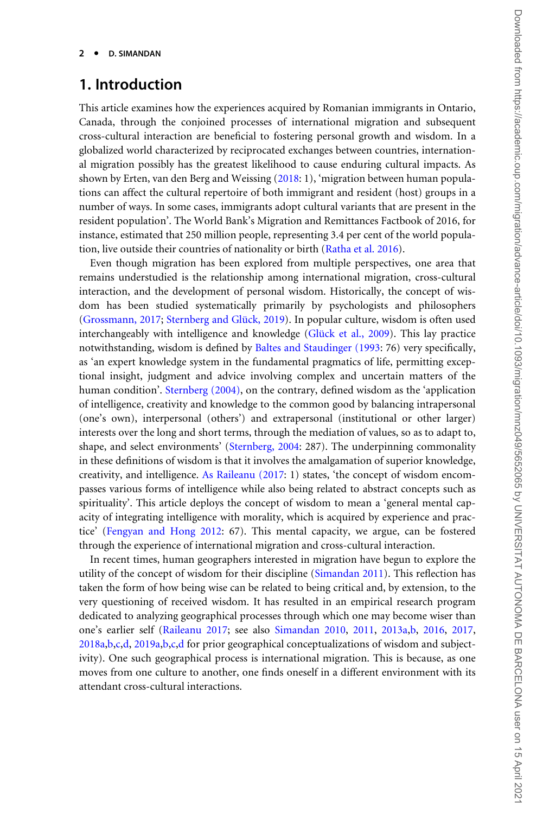### 1. Introduction

This article examines how the experiences acquired by Romanian immigrants in Ontario, Canada, through the conjoined processes of international migration and subsequent cross-cultural interaction are beneficial to fostering personal growth and wisdom. In a globalized world characterized by reciprocated exchanges between countries, international migration possibly has the greatest likelihood to cause enduring cultural impacts. As shown by Erten, van den Berg and Weissing [\(2018:](#page-19-0) 1), 'migration between human populations can affect the cultural repertoire of both immigrant and resident (host) groups in a number of ways. In some cases, immigrants adopt cultural variants that are present in the resident population'. The World Bank's Migration and Remittances Factbook of 2016, for instance, estimated that 250 million people, representing 3.4 per cent of the world population, live outside their countries of nationality or birth [\(Ratha et al. 2016\)](#page-21-0).

Even though migration has been explored from multiple perspectives, one area that remains understudied is the relationship among international migration, cross-cultural interaction, and the development of personal wisdom. Historically, the concept of wisdom has been studied systematically primarily by psychologists and philosophers ([Grossmann, 2017](#page-19-0); Sternberg and Glück, 2019). In popular culture, wisdom is often used interchangeably with intelligence and knowledge (Glück et al., 2009). This lay practice notwithstanding, wisdom is defined by [Baltes and Staudinger \(1993:](#page-18-0) 76) very specifically, as 'an expert knowledge system in the fundamental pragmatics of life, permitting exceptional insight, judgment and advice involving complex and uncertain matters of the human condition'. [Sternberg \(2004\),](#page-22-0) on the contrary, defined wisdom as the 'application of intelligence, creativity and knowledge to the common good by balancing intrapersonal (one's own), interpersonal (others') and extrapersonal (institutional or other larger) interests over the long and short terms, through the mediation of values, so as to adapt to, shape, and select environments' ([Sternberg, 2004:](#page-22-0) 287). The underpinning commonality in these definitions of wisdom is that it involves the amalgamation of superior knowledge, creativity, and intelligence. [As Raileanu \(2017](#page-21-0): 1) states, 'the concept of wisdom encompasses various forms of intelligence while also being related to abstract concepts such as spirituality'. This article deploys the concept of wisdom to mean a 'general mental capacity of integrating intelligence with morality, which is acquired by experience and practice' ([Fengyan and Hong 2012:](#page-19-0) 67). This mental capacity, we argue, can be fostered through the experience of international migration and cross-cultural interaction.

In recent times, human geographers interested in migration have begun to explore the utility of the concept of wisdom for their discipline ([Simandan 2011\)](#page-21-0). This reflection has taken the form of how being wise can be related to being critical and, by extension, to the very questioning of received wisdom. It has resulted in an empirical research program dedicated to analyzing geographical processes through which one may become wiser than one's earlier self ([Raileanu 2017](#page-21-0); see also [Simandan 2010,](#page-21-0) [2011](#page-21-0), [2013a,b](#page-21-0), [2016](#page-22-0), [2017,](#page-22-0) [2018a](#page-22-0),[b,c,d](#page-22-0), [2019a,b,c,d](#page-22-0) for prior geographical conceptualizations of wisdom and subjectivity). One such geographical process is international migration. This is because, as one moves from one culture to another, one finds oneself in a different environment with its attendant cross-cultural interactions.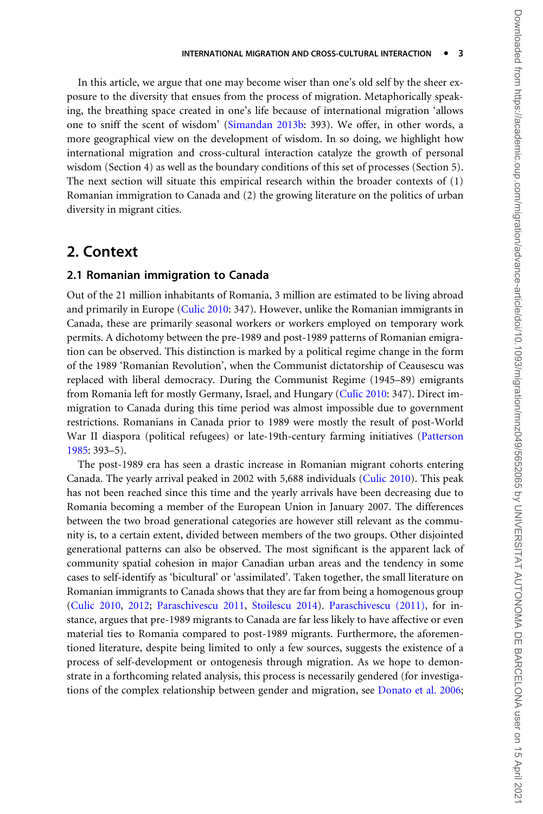In this article, we argue that one may become wiser than one's old self by the sheer exposure to the diversity that ensues from the process of migration. Metaphorically speaking, the breathing space created in one's life because of international migration 'allows one to sniff the scent of wisdom' ([Simandan 2013b:](#page-21-0) 393). We offer, in other words, a more geographical view on the development of wisdom. In so doing, we highlight how international migration and cross-cultural interaction catalyze the growth of personal wisdom (Section 4) as well as the boundary conditions of this set of processes (Section 5). The next section will situate this empirical research within the broader contexts of (1) Romanian immigration to Canada and (2) the growing literature on the politics of urban diversity in migrant cities.

### 2. Context

#### 2.1 Romanian immigration to Canada

Out of the 21 million inhabitants of Romania, 3 million are estimated to be living abroad and primarily in Europe ([Culic 2010](#page-18-0): 347). However, unlike the Romanian immigrants in Canada, these are primarily seasonal workers or workers employed on temporary work permits. A dichotomy between the pre-1989 and post-1989 patterns of Romanian emigration can be observed. This distinction is marked by a political regime change in the form of the 1989 'Romanian Revolution', when the Communist dictatorship of Ceausescu was replaced with liberal democracy. During the Communist Regime (1945–89) emigrants from Romania left for mostly Germany, Israel, and Hungary ([Culic 2010](#page-18-0): 347). Direct immigration to Canada during this time period was almost impossible due to government restrictions. Romanians in Canada prior to 1989 were mostly the result of post-World War II diaspora (political refugees) or late-19th-century farming initiatives [\(Patterson](#page-21-0) [1985:](#page-21-0) 393–5).

The post-1989 era has seen a drastic increase in Romanian migrant cohorts entering Canada. The yearly arrival peaked in 2002 with 5,688 individuals ([Culic 2010\)](#page-18-0). This peak has not been reached since this time and the yearly arrivals have been decreasing due to Romania becoming a member of the European Union in January 2007. The differences between the two broad generational categories are however still relevant as the community is, to a certain extent, divided between members of the two groups. Other disjointed generational patterns can also be observed. The most significant is the apparent lack of community spatial cohesion in major Canadian urban areas and the tendency in some cases to self-identify as 'bicultural' or 'assimilated'. Taken together, the small literature on Romanian immigrants to Canada shows that they are far from being a homogenous group ([Culic 2010](#page-18-0), [2012;](#page-19-0) [Paraschivescu 2011](#page-21-0), [Stoilescu 2014\)](#page-22-0). [Paraschivescu \(2011\)](#page-21-0), for instance, argues that pre-1989 migrants to Canada are far less likely to have affective or even material ties to Romania compared to post-1989 migrants. Furthermore, the aforementioned literature, despite being limited to only a few sources, suggests the existence of a process of self-development or ontogenesis through migration. As we hope to demonstrate in a forthcoming related analysis, this process is necessarily gendered (for investigations of the complex relationship between gender and migration, see [Donato et al. 2006;](#page-19-0)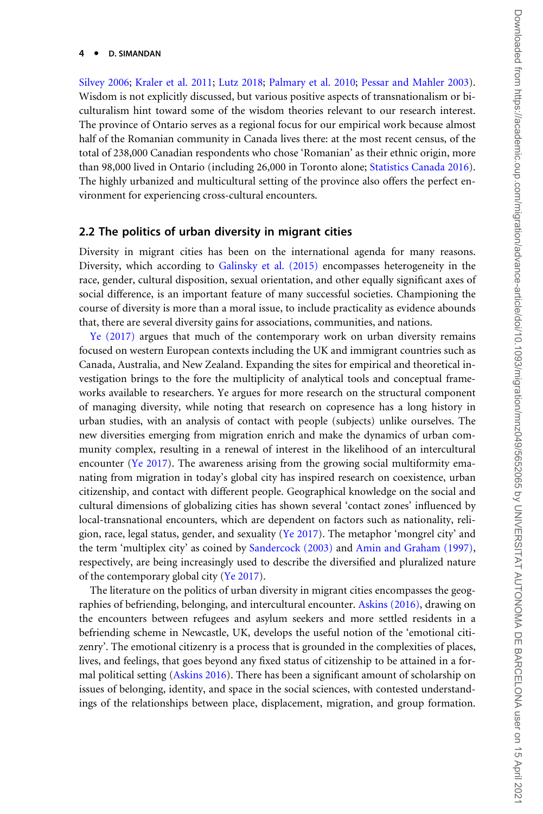#### 4 -D. SIMANDAN

[Silvey 2006](#page-21-0); [Kraler et al. 2011](#page-20-0); [Lutz 2018](#page-20-0); [Palmary et al. 2010;](#page-21-0) [Pessar and Mahler 2003](#page-21-0)). Wisdom is not explicitly discussed, but various positive aspects of transnationalism or biculturalism hint toward some of the wisdom theories relevant to our research interest. The province of Ontario serves as a regional focus for our empirical work because almost half of the Romanian community in Canada lives there: at the most recent census, of the total of 238,000 Canadian respondents who chose 'Romanian' as their ethnic origin, more than 98,000 lived in Ontario (including 26,000 in Toronto alone; [Statistics Canada 2016](#page-22-0)). The highly urbanized and multicultural setting of the province also offers the perfect environment for experiencing cross-cultural encounters.

#### 2.2 The politics of urban diversity in migrant cities

Diversity in migrant cities has been on the international agenda for many reasons. Diversity, which according to [Galinsky et al. \(2015\)](#page-19-0) encompasses heterogeneity in the race, gender, cultural disposition, sexual orientation, and other equally significant axes of social difference, is an important feature of many successful societies. Championing the course of diversity is more than a moral issue, to include practicality as evidence abounds that, there are several diversity gains for associations, communities, and nations.

[Ye \(2017\)](#page-23-0) argues that much of the contemporary work on urban diversity remains focused on western European contexts including the UK and immigrant countries such as Canada, Australia, and New Zealand. Expanding the sites for empirical and theoretical investigation brings to the fore the multiplicity of analytical tools and conceptual frameworks available to researchers. Ye argues for more research on the structural component of managing diversity, while noting that research on copresence has a long history in urban studies, with an analysis of contact with people (subjects) unlike ourselves. The new diversities emerging from migration enrich and make the dynamics of urban community complex, resulting in a renewal of interest in the likelihood of an intercultural encounter [\(Ye 2017\)](#page-23-0). The awareness arising from the growing social multiformity emanating from migration in today's global city has inspired research on coexistence, urban citizenship, and contact with different people. Geographical knowledge on the social and cultural dimensions of globalizing cities has shown several 'contact zones' influenced by local-transnational encounters, which are dependent on factors such as nationality, religion, race, legal status, gender, and sexuality ([Ye 2017](#page-23-0)). The metaphor 'mongrel city' and the term 'multiplex city' as coined by [Sandercock \(2003\)](#page-21-0) and [Amin and Graham \(1997\),](#page-18-0) respectively, are being increasingly used to describe the diversified and pluralized nature of the contemporary global city ([Ye 2017](#page-23-0)).

The literature on the politics of urban diversity in migrant cities encompasses the geographies of befriending, belonging, and intercultural encounter. [Askins \(2016\)](#page-18-0), drawing on the encounters between refugees and asylum seekers and more settled residents in a befriending scheme in Newcastle, UK, develops the useful notion of the 'emotional citizenry'. The emotional citizenry is a process that is grounded in the complexities of places, lives, and feelings, that goes beyond any fixed status of citizenship to be attained in a formal political setting [\(Askins 2016\)](#page-18-0). There has been a significant amount of scholarship on issues of belonging, identity, and space in the social sciences, with contested understandings of the relationships between place, displacement, migration, and group formation.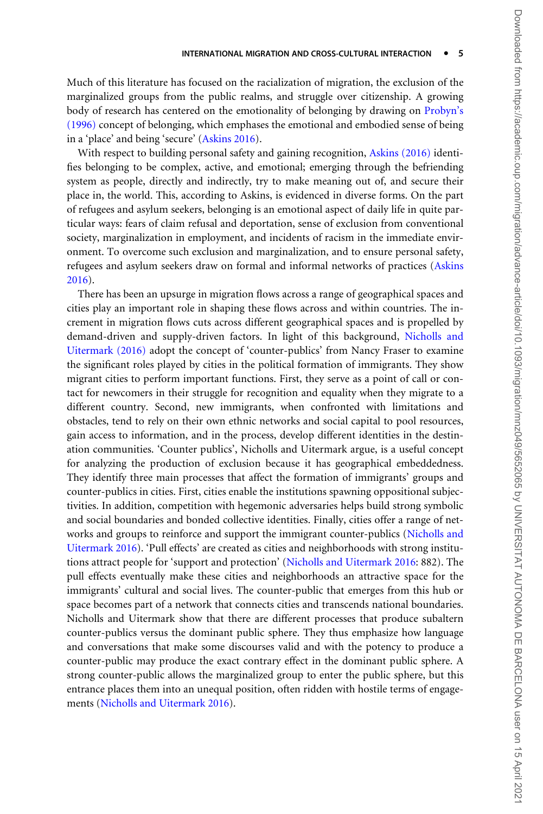Much of this literature has focused on the racialization of migration, the exclusion of the marginalized groups from the public realms, and struggle over citizenship. A growing body of research has centered on the emotionality of belonging by drawing on [Probyn's](#page-21-0) [\(1996\)](#page-21-0) concept of belonging, which emphases the emotional and embodied sense of being in a 'place' and being 'secure' ([Askins 2016](#page-18-0)).

With respect to building personal safety and gaining recognition, [Askins \(2016\)](#page-18-0) identifies belonging to be complex, active, and emotional; emerging through the befriending system as people, directly and indirectly, try to make meaning out of, and secure their place in, the world. This, according to Askins, is evidenced in diverse forms. On the part of refugees and asylum seekers, belonging is an emotional aspect of daily life in quite particular ways: fears of claim refusal and deportation, sense of exclusion from conventional society, marginalization in employment, and incidents of racism in the immediate environment. To overcome such exclusion and marginalization, and to ensure personal safety, refugees and asylum seekers draw on formal and informal networks of practices ([Askins](#page-18-0) [2016\)](#page-18-0).

There has been an upsurge in migration flows across a range of geographical spaces and cities play an important role in shaping these flows across and within countries. The increment in migration flows cuts across different geographical spaces and is propelled by demand-driven and supply-driven factors. In light of this background, [Nicholls and](#page-20-0) [Uitermark \(2016\)](#page-20-0) adopt the concept of 'counter-publics' from Nancy Fraser to examine the significant roles played by cities in the political formation of immigrants. They show migrant cities to perform important functions. First, they serve as a point of call or contact for newcomers in their struggle for recognition and equality when they migrate to a different country. Second, new immigrants, when confronted with limitations and obstacles, tend to rely on their own ethnic networks and social capital to pool resources, gain access to information, and in the process, develop different identities in the destination communities. 'Counter publics', Nicholls and Uitermark argue, is a useful concept for analyzing the production of exclusion because it has geographical embeddedness. They identify three main processes that affect the formation of immigrants' groups and counter-publics in cities. First, cities enable the institutions spawning oppositional subjectivities. In addition, competition with hegemonic adversaries helps build strong symbolic and social boundaries and bonded collective identities. Finally, cities offer a range of networks and groups to reinforce and support the immigrant counter-publics ([Nicholls and](#page-20-0) [Uitermark 2016\)](#page-20-0). 'Pull effects' are created as cities and neighborhoods with strong institutions attract people for 'support and protection' ([Nicholls and Uitermark 2016:](#page-20-0) 882). The pull effects eventually make these cities and neighborhoods an attractive space for the immigrants' cultural and social lives. The counter-public that emerges from this hub or space becomes part of a network that connects cities and transcends national boundaries. Nicholls and Uitermark show that there are different processes that produce subaltern counter-publics versus the dominant public sphere. They thus emphasize how language and conversations that make some discourses valid and with the potency to produce a counter-public may produce the exact contrary effect in the dominant public sphere. A strong counter-public allows the marginalized group to enter the public sphere, but this entrance places them into an unequal position, often ridden with hostile terms of engagements ([Nicholls and Uitermark 2016\)](#page-20-0).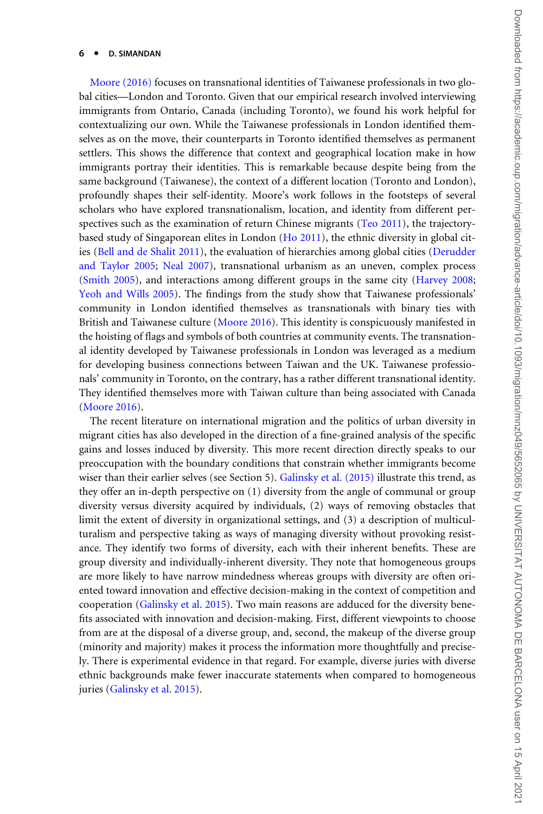#### $6 -$ D. SIMANDAN

[Moore \(2016\)](#page-20-0) focuses on transnational identities of Taiwanese professionals in two global cities—London and Toronto. Given that our empirical research involved interviewing immigrants from Ontario, Canada (including Toronto), we found his work helpful for contextualizing our own. While the Taiwanese professionals in London identified themselves as on the move, their counterparts in Toronto identified themselves as permanent settlers. This shows the difference that context and geographical location make in how immigrants portray their identities. This is remarkable because despite being from the same background (Taiwanese), the context of a different location (Toronto and London), profoundly shapes their self-identity. Moore's work follows in the footsteps of several scholars who have explored transnationalism, location, and identity from different per-spectives such as the examination of return Chinese migrants [\(Teo 2011\)](#page-22-0), the trajectorybased study of Singaporean elites in London ([Ho 2011\)](#page-19-0), the ethnic diversity in global cities ([Bell and de Shalit 2011\)](#page-18-0), the evaluation of hierarchies among global cities ([Derudder](#page-19-0) [and Taylor 2005;](#page-19-0) [Neal 2007](#page-20-0)), transnational urbanism as an uneven, complex process ([Smith 2005\)](#page-22-0), and interactions among different groups in the same city [\(Harvey 2008;](#page-19-0) [Yeoh and Wills 2005\)](#page-23-0). The findings from the study show that Taiwanese professionals' community in London identified themselves as transnationals with binary ties with British and Taiwanese culture [\(Moore 2016](#page-20-0)). This identity is conspicuously manifested in the hoisting of flags and symbols of both countries at community events. The transnational identity developed by Taiwanese professionals in London was leveraged as a medium for developing business connections between Taiwan and the UK. Taiwanese professionals' community in Toronto, on the contrary, has a rather different transnational identity. They identified themselves more with Taiwan culture than being associated with Canada ([Moore 2016](#page-20-0)).

The recent literature on international migration and the politics of urban diversity in migrant cities has also developed in the direction of a fine-grained analysis of the specific gains and losses induced by diversity. This more recent direction directly speaks to our preoccupation with the boundary conditions that constrain whether immigrants become wiser than their earlier selves (see Section 5). [Galinsky et al. \(2015\)](#page-19-0) illustrate this trend, as they offer an in-depth perspective on (1) diversity from the angle of communal or group diversity versus diversity acquired by individuals, (2) ways of removing obstacles that limit the extent of diversity in organizational settings, and (3) a description of multiculturalism and perspective taking as ways of managing diversity without provoking resistance. They identify two forms of diversity, each with their inherent benefits. These are group diversity and individually-inherent diversity. They note that homogeneous groups are more likely to have narrow mindedness whereas groups with diversity are often oriented toward innovation and effective decision-making in the context of competition and cooperation ([Galinsky et al. 2015](#page-19-0)). Two main reasons are adduced for the diversity benefits associated with innovation and decision-making. First, different viewpoints to choose from are at the disposal of a diverse group, and, second, the makeup of the diverse group (minority and majority) makes it process the information more thoughtfully and precisely. There is experimental evidence in that regard. For example, diverse juries with diverse ethnic backgrounds make fewer inaccurate statements when compared to homogeneous juries ([Galinsky et al. 2015](#page-19-0)).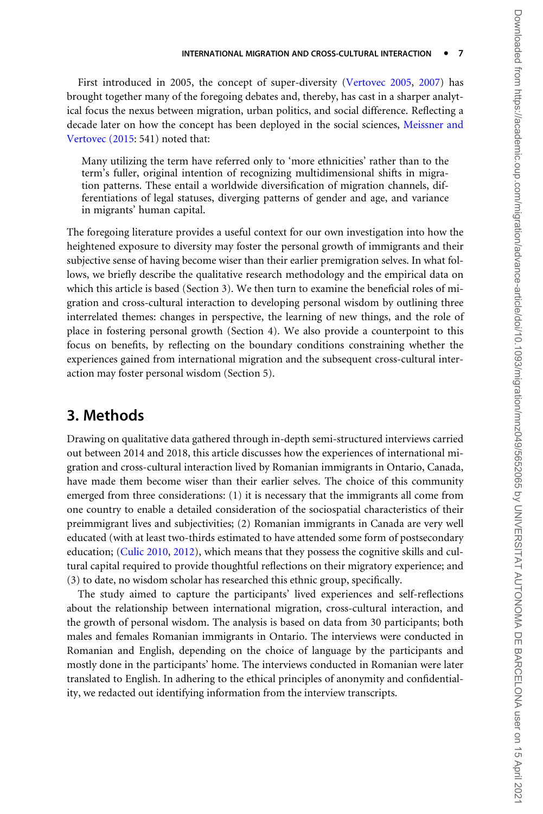First introduced in 2005, the concept of super-diversity [\(Vertovec 2005](#page-23-0), [2007\)](#page-23-0) has brought together many of the foregoing debates and, thereby, has cast in a sharper analytical focus the nexus between migration, urban politics, and social difference. Reflecting a decade later on how the concept has been deployed in the social sciences, [Meissner and](#page-20-0) [Vertovec \(2015](#page-20-0): 541) noted that:

Many utilizing the term have referred only to 'more ethnicities' rather than to the term's fuller, original intention of recognizing multidimensional shifts in migration patterns. These entail a worldwide diversification of migration channels, differentiations of legal statuses, diverging patterns of gender and age, and variance in migrants' human capital.

The foregoing literature provides a useful context for our own investigation into how the heightened exposure to diversity may foster the personal growth of immigrants and their subjective sense of having become wiser than their earlier premigration selves. In what follows, we briefly describe the qualitative research methodology and the empirical data on which this article is based (Section 3). We then turn to examine the beneficial roles of migration and cross-cultural interaction to developing personal wisdom by outlining three interrelated themes: changes in perspective, the learning of new things, and the role of place in fostering personal growth (Section 4). We also provide a counterpoint to this focus on benefits, by reflecting on the boundary conditions constraining whether the experiences gained from international migration and the subsequent cross-cultural interaction may foster personal wisdom (Section 5).

### 3. Methods

Drawing on qualitative data gathered through in-depth semi-structured interviews carried out between 2014 and 2018, this article discusses how the experiences of international migration and cross-cultural interaction lived by Romanian immigrants in Ontario, Canada, have made them become wiser than their earlier selves. The choice of this community emerged from three considerations: (1) it is necessary that the immigrants all come from one country to enable a detailed consideration of the sociospatial characteristics of their preimmigrant lives and subjectivities; (2) Romanian immigrants in Canada are very well educated (with at least two-thirds estimated to have attended some form of postsecondary education; [\(Culic 2010,](#page-18-0) [2012\)](#page-19-0), which means that they possess the cognitive skills and cultural capital required to provide thoughtful reflections on their migratory experience; and (3) to date, no wisdom scholar has researched this ethnic group, specifically.

The study aimed to capture the participants' lived experiences and self-reflections about the relationship between international migration, cross-cultural interaction, and the growth of personal wisdom. The analysis is based on data from 30 participants; both males and females Romanian immigrants in Ontario. The interviews were conducted in Romanian and English, depending on the choice of language by the participants and mostly done in the participants' home. The interviews conducted in Romanian were later translated to English. In adhering to the ethical principles of anonymity and confidentiality, we redacted out identifying information from the interview transcripts.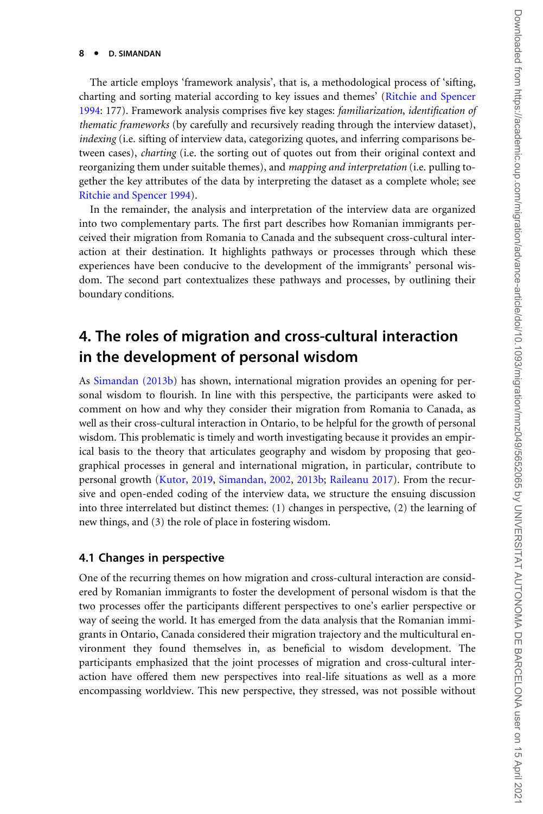#### 8 -D. SIMANDAN

The article employs 'framework analysis', that is, a methodological process of 'sifting, charting and sorting material according to key issues and themes' [\(Ritchie and Spencer](#page-21-0) [1994:](#page-21-0) 177). Framework analysis comprises five key stages: familiarization, identification of thematic frameworks (by carefully and recursively reading through the interview dataset), indexing (i.e. sifting of interview data, categorizing quotes, and inferring comparisons between cases), charting (i.e. the sorting out of quotes out from their original context and reorganizing them under suitable themes), and mapping and interpretation (i.e. pulling together the key attributes of the data by interpreting the dataset as a complete whole; see [Ritchie and Spencer 1994](#page-21-0)).

In the remainder, the analysis and interpretation of the interview data are organized into two complementary parts. The first part describes how Romanian immigrants perceived their migration from Romania to Canada and the subsequent cross-cultural interaction at their destination. It highlights pathways or processes through which these experiences have been conducive to the development of the immigrants' personal wisdom. The second part contextualizes these pathways and processes, by outlining their boundary conditions.

## 4. The roles of migration and cross-cultural interaction in the development of personal wisdom

As [Simandan \(2013b](#page-21-0)) has shown, international migration provides an opening for personal wisdom to flourish. In line with this perspective, the participants were asked to comment on how and why they consider their migration from Romania to Canada, as well as their cross-cultural interaction in Ontario, to be helpful for the growth of personal wisdom. This problematic is timely and worth investigating because it provides an empirical basis to the theory that articulates geography and wisdom by proposing that geographical processes in general and international migration, in particular, contribute to personal growth ([Kutor, 2019](#page-20-0), [Simandan, 2002](#page-21-0), [2013b;](#page-21-0) [Raileanu 2017](#page-21-0)). From the recursive and open-ended coding of the interview data, we structure the ensuing discussion into three interrelated but distinct themes: (1) changes in perspective, (2) the learning of new things, and (3) the role of place in fostering wisdom.

#### 4.1 Changes in perspective

One of the recurring themes on how migration and cross-cultural interaction are considered by Romanian immigrants to foster the development of personal wisdom is that the two processes offer the participants different perspectives to one's earlier perspective or way of seeing the world. It has emerged from the data analysis that the Romanian immigrants in Ontario, Canada considered their migration trajectory and the multicultural environment they found themselves in, as beneficial to wisdom development. The participants emphasized that the joint processes of migration and cross-cultural interaction have offered them new perspectives into real-life situations as well as a more encompassing worldview. This new perspective, they stressed, was not possible without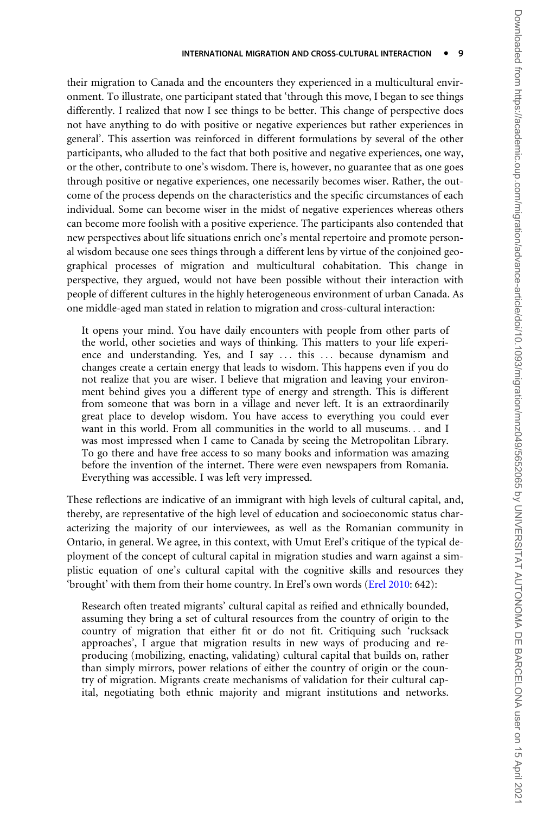their migration to Canada and the encounters they experienced in a multicultural environment. To illustrate, one participant stated that 'through this move, I began to see things differently. I realized that now I see things to be better. This change of perspective does not have anything to do with positive or negative experiences but rather experiences in general'. This assertion was reinforced in different formulations by several of the other participants, who alluded to the fact that both positive and negative experiences, one way, or the other, contribute to one's wisdom. There is, however, no guarantee that as one goes through positive or negative experiences, one necessarily becomes wiser. Rather, the outcome of the process depends on the characteristics and the specific circumstances of each individual. Some can become wiser in the midst of negative experiences whereas others can become more foolish with a positive experience. The participants also contended that new perspectives about life situations enrich one's mental repertoire and promote personal wisdom because one sees things through a different lens by virtue of the conjoined geographical processes of migration and multicultural cohabitation. This change in perspective, they argued, would not have been possible without their interaction with people of different cultures in the highly heterogeneous environment of urban Canada. As one middle-aged man stated in relation to migration and cross-cultural interaction:

It opens your mind. You have daily encounters with people from other parts of the world, other societies and ways of thinking. This matters to your life experience and understanding. Yes, and I say ... this ... because dynamism and changes create a certain energy that leads to wisdom. This happens even if you do not realize that you are wiser. I believe that migration and leaving your environment behind gives you a different type of energy and strength. This is different from someone that was born in a village and never left. It is an extraordinarily great place to develop wisdom. You have access to everything you could ever want in this world. From all communities in the world to all museums... and I was most impressed when I came to Canada by seeing the Metropolitan Library. To go there and have free access to so many books and information was amazing before the invention of the internet. There were even newspapers from Romania. Everything was accessible. I was left very impressed.

These reflections are indicative of an immigrant with high levels of cultural capital, and, thereby, are representative of the high level of education and socioeconomic status characterizing the majority of our interviewees, as well as the Romanian community in Ontario, in general. We agree, in this context, with Umut Erel's critique of the typical deployment of the concept of cultural capital in migration studies and warn against a simplistic equation of one's cultural capital with the cognitive skills and resources they 'brought' with them from their home country. In Erel's own words [\(Erel 2010:](#page-19-0) 642):

Research often treated migrants' cultural capital as reified and ethnically bounded, assuming they bring a set of cultural resources from the country of origin to the country of migration that either fit or do not fit. Critiquing such 'rucksack approaches', I argue that migration results in new ways of producing and reproducing (mobilizing, enacting, validating) cultural capital that builds on, rather than simply mirrors, power relations of either the country of origin or the country of migration. Migrants create mechanisms of validation for their cultural capital, negotiating both ethnic majority and migrant institutions and networks.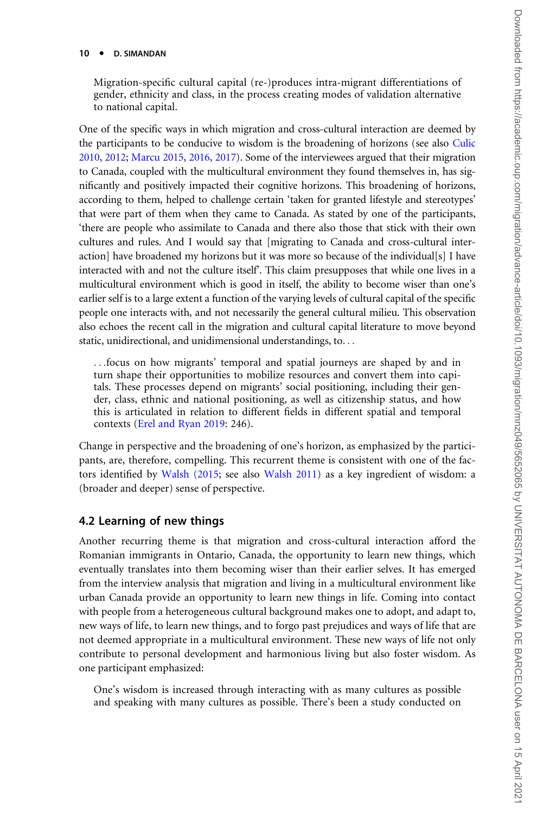#### 10 • D. SIMANDAN

Migration-specific cultural capital (re-)produces intra-migrant differentiations of gender, ethnicity and class, in the process creating modes of validation alternative to national capital.

One of the specific ways in which migration and cross-cultural interaction are deemed by the participants to be conducive to wisdom is the broadening of horizons (see also [Culic](#page-18-0) [2010](#page-18-0), [2012;](#page-19-0) [Marcu 2015,](#page-20-0) [2016,](#page-20-0) [2017](#page-20-0)). Some of the interviewees argued that their migration to Canada, coupled with the multicultural environment they found themselves in, has significantly and positively impacted their cognitive horizons. This broadening of horizons, according to them, helped to challenge certain 'taken for granted lifestyle and stereotypes' that were part of them when they came to Canada. As stated by one of the participants, 'there are people who assimilate to Canada and there also those that stick with their own cultures and rules. And I would say that [migrating to Canada and cross-cultural interaction] have broadened my horizons but it was more so because of the individual[s] I have interacted with and not the culture itself'. This claim presupposes that while one lives in a multicultural environment which is good in itself, the ability to become wiser than one's earlier self is to a large extent a function of the varying levels of cultural capital of the specific people one interacts with, and not necessarily the general cultural milieu. This observation also echoes the recent call in the migration and cultural capital literature to move beyond static, unidirectional, and unidimensional understandings, to...

...focus on how migrants' temporal and spatial journeys are shaped by and in turn shape their opportunities to mobilize resources and convert them into capitals. These processes depend on migrants' social positioning, including their gender, class, ethnic and national positioning, as well as citizenship status, and how this is articulated in relation to different fields in different spatial and temporal contexts [\(Erel and Ryan 2019](#page-19-0): 246).

Change in perspective and the broadening of one's horizon, as emphasized by the participants, are, therefore, compelling. This recurrent theme is consistent with one of the factors identified by [Walsh \(2015](#page-23-0); see also [Walsh 2011\)](#page-23-0) as a key ingredient of wisdom: a (broader and deeper) sense of perspective.

#### 4.2 Learning of new things

Another recurring theme is that migration and cross-cultural interaction afford the Romanian immigrants in Ontario, Canada, the opportunity to learn new things, which eventually translates into them becoming wiser than their earlier selves. It has emerged from the interview analysis that migration and living in a multicultural environment like urban Canada provide an opportunity to learn new things in life. Coming into contact with people from a heterogeneous cultural background makes one to adopt, and adapt to, new ways of life, to learn new things, and to forgo past prejudices and ways of life that are not deemed appropriate in a multicultural environment. These new ways of life not only contribute to personal development and harmonious living but also foster wisdom. As one participant emphasized:

One's wisdom is increased through interacting with as many cultures as possible and speaking with many cultures as possible. There's been a study conducted on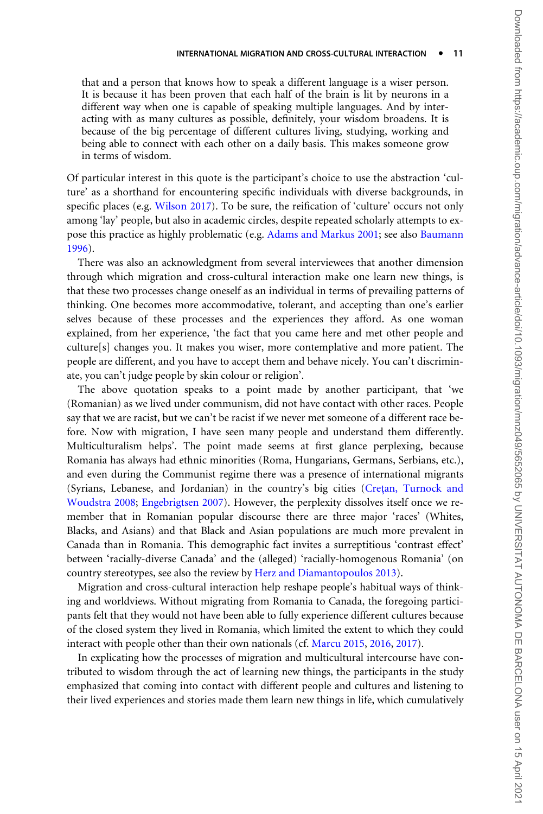that and a person that knows how to speak a different language is a wiser person. It is because it has been proven that each half of the brain is lit by neurons in a different way when one is capable of speaking multiple languages. And by interacting with as many cultures as possible, definitely, your wisdom broadens. It is because of the big percentage of different cultures living, studying, working and being able to connect with each other on a daily basis. This makes someone grow in terms of wisdom.

Of particular interest in this quote is the participant's choice to use the abstraction 'culture' as a shorthand for encountering specific individuals with diverse backgrounds, in specific places (e.g. [Wilson 2017](#page-23-0)). To be sure, the reification of 'culture' occurs not only among 'lay' people, but also in academic circles, despite repeated scholarly attempts to expose this practice as highly problematic (e.g. [Adams and Markus 2001;](#page-18-0) see also [Baumann](#page-18-0) [1996\)](#page-18-0).

There was also an acknowledgment from several interviewees that another dimension through which migration and cross-cultural interaction make one learn new things, is that these two processes change oneself as an individual in terms of prevailing patterns of thinking. One becomes more accommodative, tolerant, and accepting than one's earlier selves because of these processes and the experiences they afford. As one woman explained, from her experience, 'the fact that you came here and met other people and culture[s] changes you. It makes you wiser, more contemplative and more patient. The people are different, and you have to accept them and behave nicely. You can't discriminate, you can't judge people by skin colour or religion'.

The above quotation speaks to a point made by another participant, that 'we (Romanian) as we lived under communism, did not have contact with other races. People say that we are racist, but we can't be racist if we never met someone of a different race before. Now with migration, I have seen many people and understand them differently. Multiculturalism helps'. The point made seems at first glance perplexing, because Romania has always had ethnic minorities (Roma, Hungarians, Germans, Serbians, etc.), and even during the Communist regime there was a presence of international migrants (Syrians, Lebanese, and Jordanian) in the country's big cities (Cretan, Turnock and [Woudstra 2008](#page-18-0); [Engebrigtsen 2007](#page-19-0)). However, the perplexity dissolves itself once we remember that in Romanian popular discourse there are three major 'races' (Whites, Blacks, and Asians) and that Black and Asian populations are much more prevalent in Canada than in Romania. This demographic fact invites a surreptitious 'contrast effect' between 'racially-diverse Canada' and the (alleged) 'racially-homogenous Romania' (on country stereotypes, see also the review by [Herz and Diamantopoulos 2013](#page-19-0)).

Migration and cross-cultural interaction help reshape people's habitual ways of thinking and worldviews. Without migrating from Romania to Canada, the foregoing participants felt that they would not have been able to fully experience different cultures because of the closed system they lived in Romania, which limited the extent to which they could interact with people other than their own nationals (cf. [Marcu 2015](#page-20-0), [2016,](#page-20-0) [2017](#page-20-0)).

In explicating how the processes of migration and multicultural intercourse have contributed to wisdom through the act of learning new things, the participants in the study emphasized that coming into contact with different people and cultures and listening to their lived experiences and stories made them learn new things in life, which cumulatively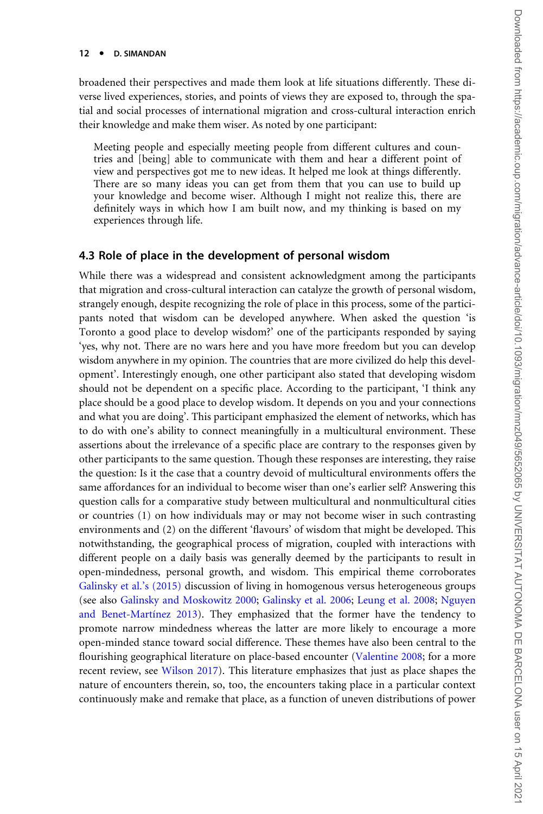#### 12 • D. SIMANDAN

broadened their perspectives and made them look at life situations differently. These diverse lived experiences, stories, and points of views they are exposed to, through the spatial and social processes of international migration and cross-cultural interaction enrich their knowledge and make them wiser. As noted by one participant:

Meeting people and especially meeting people from different cultures and countries and [being] able to communicate with them and hear a different point of view and perspectives got me to new ideas. It helped me look at things differently. There are so many ideas you can get from them that you can use to build up your knowledge and become wiser. Although I might not realize this, there are definitely ways in which how I am built now, and my thinking is based on my experiences through life.

#### 4.3 Role of place in the development of personal wisdom

While there was a widespread and consistent acknowledgment among the participants that migration and cross-cultural interaction can catalyze the growth of personal wisdom, strangely enough, despite recognizing the role of place in this process, some of the participants noted that wisdom can be developed anywhere. When asked the question 'is Toronto a good place to develop wisdom?' one of the participants responded by saying 'yes, why not. There are no wars here and you have more freedom but you can develop wisdom anywhere in my opinion. The countries that are more civilized do help this development'. Interestingly enough, one other participant also stated that developing wisdom should not be dependent on a specific place. According to the participant, 'I think any place should be a good place to develop wisdom. It depends on you and your connections and what you are doing'. This participant emphasized the element of networks, which has to do with one's ability to connect meaningfully in a multicultural environment. These assertions about the irrelevance of a specific place are contrary to the responses given by other participants to the same question. Though these responses are interesting, they raise the question: Is it the case that a country devoid of multicultural environments offers the same affordances for an individual to become wiser than one's earlier self? Answering this question calls for a comparative study between multicultural and nonmulticultural cities or countries (1) on how individuals may or may not become wiser in such contrasting environments and (2) on the different 'flavours' of wisdom that might be developed. This notwithstanding, the geographical process of migration, coupled with interactions with different people on a daily basis was generally deemed by the participants to result in open-mindedness, personal growth, and wisdom. This empirical theme corroborates [Galinsky et al.'s \(2015\)](#page-19-0) discussion of living in homogenous versus heterogeneous groups (see also [Galinsky and Moskowitz 2000](#page-19-0); [Galinsky et al. 2006](#page-19-0); [Leung et al. 2008](#page-20-0); [Nguyen](#page-20-0) and Benet-Martínez 2013). They emphasized that the former have the tendency to promote narrow mindedness whereas the latter are more likely to encourage a more open-minded stance toward social difference. These themes have also been central to the flourishing geographical literature on place-based encounter ([Valentine 2008](#page-23-0); for a more recent review, see [Wilson 2017\)](#page-23-0). This literature emphasizes that just as place shapes the nature of encounters therein, so, too, the encounters taking place in a particular context continuously make and remake that place, as a function of uneven distributions of power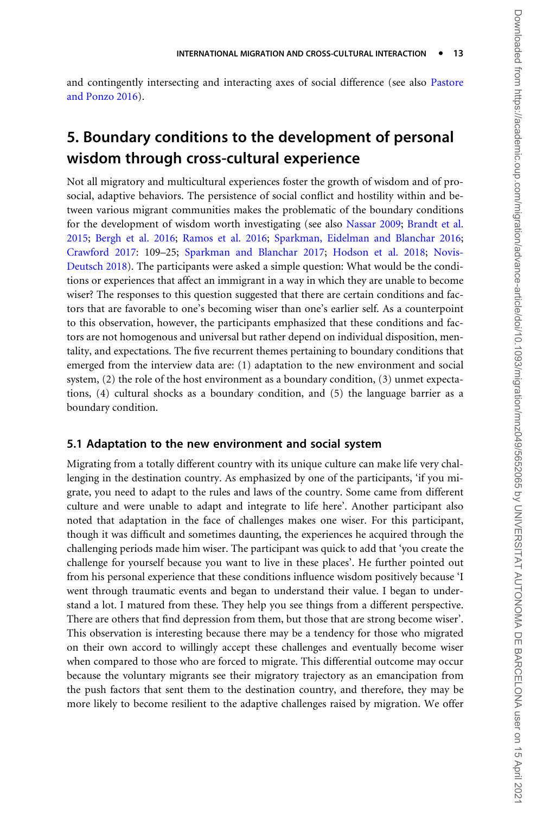and contingently intersecting and interacting axes of social difference (see also [Pastore](#page-21-0) [and Ponzo 2016](#page-21-0)).

# 5. Boundary conditions to the development of personal wisdom through cross-cultural experience

Not all migratory and multicultural experiences foster the growth of wisdom and of prosocial, adaptive behaviors. The persistence of social conflict and hostility within and between various migrant communities makes the problematic of the boundary conditions for the development of wisdom worth investigating (see also [Nassar 2009;](#page-20-0) [Brandt et al.](#page-18-0) [2015;](#page-18-0) [Bergh et al. 2016;](#page-18-0) [Ramos et al. 2016;](#page-21-0) [Sparkman, Eidelman and Blanchar 2016;](#page-22-0) [Crawford 2017:](#page-18-0) 109–25; [Sparkman and Blanchar 2017](#page-22-0); [Hodson et al. 2018;](#page-19-0) [Novis-](#page-20-0)[Deutsch 2018\)](#page-20-0). The participants were asked a simple question: What would be the conditions or experiences that affect an immigrant in a way in which they are unable to become wiser? The responses to this question suggested that there are certain conditions and factors that are favorable to one's becoming wiser than one's earlier self. As a counterpoint to this observation, however, the participants emphasized that these conditions and factors are not homogenous and universal but rather depend on individual disposition, mentality, and expectations. The five recurrent themes pertaining to boundary conditions that emerged from the interview data are: (1) adaptation to the new environment and social system, (2) the role of the host environment as a boundary condition, (3) unmet expectations, (4) cultural shocks as a boundary condition, and (5) the language barrier as a boundary condition.

### 5.1 Adaptation to the new environment and social system

Migrating from a totally different country with its unique culture can make life very challenging in the destination country. As emphasized by one of the participants, 'if you migrate, you need to adapt to the rules and laws of the country. Some came from different culture and were unable to adapt and integrate to life here'. Another participant also noted that adaptation in the face of challenges makes one wiser. For this participant, though it was difficult and sometimes daunting, the experiences he acquired through the challenging periods made him wiser. The participant was quick to add that 'you create the challenge for yourself because you want to live in these places'. He further pointed out from his personal experience that these conditions influence wisdom positively because 'I went through traumatic events and began to understand their value. I began to understand a lot. I matured from these. They help you see things from a different perspective. There are others that find depression from them, but those that are strong become wiser'. This observation is interesting because there may be a tendency for those who migrated on their own accord to willingly accept these challenges and eventually become wiser when compared to those who are forced to migrate. This differential outcome may occur because the voluntary migrants see their migratory trajectory as an emancipation from the push factors that sent them to the destination country, and therefore, they may be more likely to become resilient to the adaptive challenges raised by migration. We offer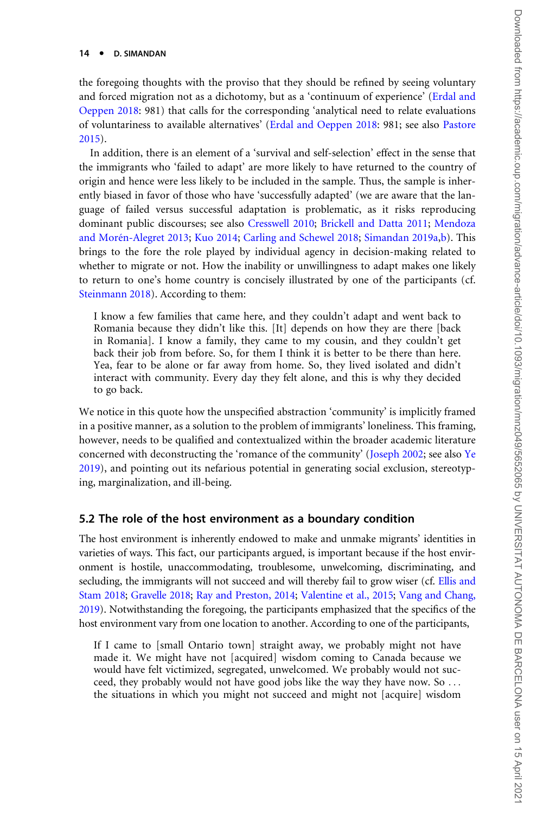#### 14 · D. SIMANDAN

the foregoing thoughts with the proviso that they should be refined by seeing voluntary and forced migration not as a dichotomy, but as a 'continuum of experience' [\(Erdal and](#page-19-0) [Oeppen 2018](#page-19-0): 981) that calls for the corresponding 'analytical need to relate evaluations of voluntariness to available alternatives' ([Erdal and Oeppen 2018](#page-19-0): 981; see also [Pastore](#page-21-0) [2015\)](#page-21-0).

In addition, there is an element of a 'survival and self-selection' effect in the sense that the immigrants who 'failed to adapt' are more likely to have returned to the country of origin and hence were less likely to be included in the sample. Thus, the sample is inherently biased in favor of those who have 'successfully adapted' (we are aware that the language of failed versus successful adaptation is problematic, as it risks reproducing dominant public discourses; see also [Cresswell 2010](#page-18-0); [Brickell and Datta 2011;](#page-18-0) [Mendoza](#page-20-0) and Morén-Alegret 2013; [Kuo 2014;](#page-20-0) [Carling and Schewel 2018](#page-18-0); [Simandan 2019a,b\)](#page-22-0). This brings to the fore the role played by individual agency in decision-making related to whether to migrate or not. How the inability or unwillingness to adapt makes one likely to return to one's home country is concisely illustrated by one of the participants (cf. [Steinmann 2018\)](#page-22-0). According to them:

I know a few families that came here, and they couldn't adapt and went back to Romania because they didn't like this. [It] depends on how they are there [back in Romania]. I know a family, they came to my cousin, and they couldn't get back their job from before. So, for them I think it is better to be there than here. Yea, fear to be alone or far away from home. So, they lived isolated and didn't interact with community. Every day they felt alone, and this is why they decided to go back.

We notice in this quote how the unspecified abstraction 'community' is implicitly framed in a positive manner, as a solution to the problem of immigrants' loneliness. This framing, however, needs to be qualified and contextualized within the broader academic literature concerned with deconstructing the 'romance of the community' [\(Joseph 2002](#page-20-0); see also [Ye](#page-23-0) [2019\)](#page-23-0), and pointing out its nefarious potential in generating social exclusion, stereotyping, marginalization, and ill-being.

#### 5.2 The role of the host environment as a boundary condition

The host environment is inherently endowed to make and unmake migrants' identities in varieties of ways. This fact, our participants argued, is important because if the host environment is hostile, unaccommodating, troublesome, unwelcoming, discriminating, and secluding, the immigrants will not succeed and will thereby fail to grow wiser (cf. [Ellis and](#page-19-0) [Stam 2018;](#page-19-0) [Gravelle 2018](#page-19-0); [Ray and Preston, 2014](#page-21-0); [Valentine et al., 2015](#page-22-0); [Vang and Chang,](#page-23-0) [2019](#page-23-0)). Notwithstanding the foregoing, the participants emphasized that the specifics of the host environment vary from one location to another. According to one of the participants,

If I came to [small Ontario town] straight away, we probably might not have made it. We might have not [acquired] wisdom coming to Canada because we would have felt victimized, segregated, unwelcomed. We probably would not succeed, they probably would not have good jobs like the way they have now. So ... the situations in which you might not succeed and might not [acquire] wisdom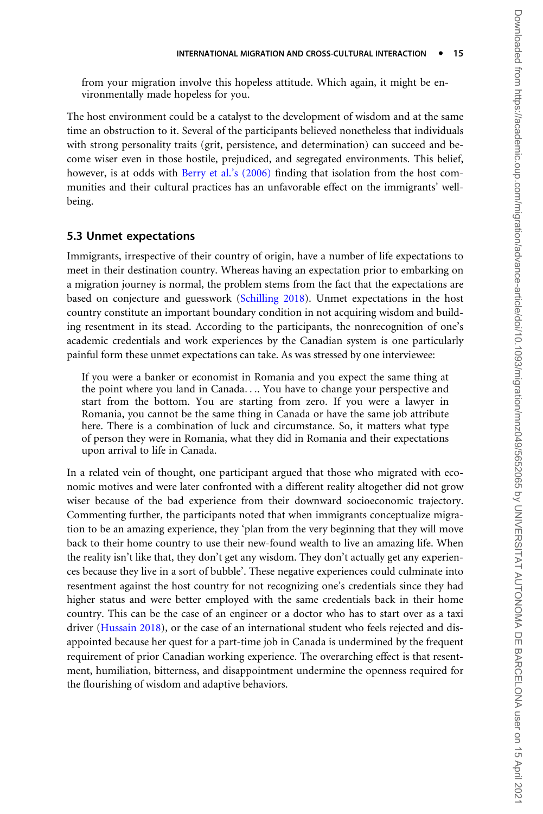from your migration involve this hopeless attitude. Which again, it might be environmentally made hopeless for you.

The host environment could be a catalyst to the development of wisdom and at the same time an obstruction to it. Several of the participants believed nonetheless that individuals with strong personality traits (grit, persistence, and determination) can succeed and become wiser even in those hostile, prejudiced, and segregated environments. This belief, however, is at odds with [Berry et al.'s \(2006\)](#page-18-0) finding that isolation from the host communities and their cultural practices has an unfavorable effect on the immigrants' wellbeing.

### 5.3 Unmet expectations

Immigrants, irrespective of their country of origin, have a number of life expectations to meet in their destination country. Whereas having an expectation prior to embarking on a migration journey is normal, the problem stems from the fact that the expectations are based on conjecture and guesswork [\(Schilling 2018](#page-21-0)). Unmet expectations in the host country constitute an important boundary condition in not acquiring wisdom and building resentment in its stead. According to the participants, the nonrecognition of one's academic credentials and work experiences by the Canadian system is one particularly painful form these unmet expectations can take. As was stressed by one interviewee:

If you were a banker or economist in Romania and you expect the same thing at the point where you land in Canada.... You have to change your perspective and start from the bottom. You are starting from zero. If you were a lawyer in Romania, you cannot be the same thing in Canada or have the same job attribute here. There is a combination of luck and circumstance. So, it matters what type of person they were in Romania, what they did in Romania and their expectations upon arrival to life in Canada.

In a related vein of thought, one participant argued that those who migrated with economic motives and were later confronted with a different reality altogether did not grow wiser because of the bad experience from their downward socioeconomic trajectory. Commenting further, the participants noted that when immigrants conceptualize migration to be an amazing experience, they 'plan from the very beginning that they will move back to their home country to use their new-found wealth to live an amazing life. When the reality isn't like that, they don't get any wisdom. They don't actually get any experiences because they live in a sort of bubble'. These negative experiences could culminate into resentment against the host country for not recognizing one's credentials since they had higher status and were better employed with the same credentials back in their home country. This can be the case of an engineer or a doctor who has to start over as a taxi driver [\(Hussain 2018](#page-20-0)), or the case of an international student who feels rejected and disappointed because her quest for a part-time job in Canada is undermined by the frequent requirement of prior Canadian working experience. The overarching effect is that resentment, humiliation, bitterness, and disappointment undermine the openness required for the flourishing of wisdom and adaptive behaviors.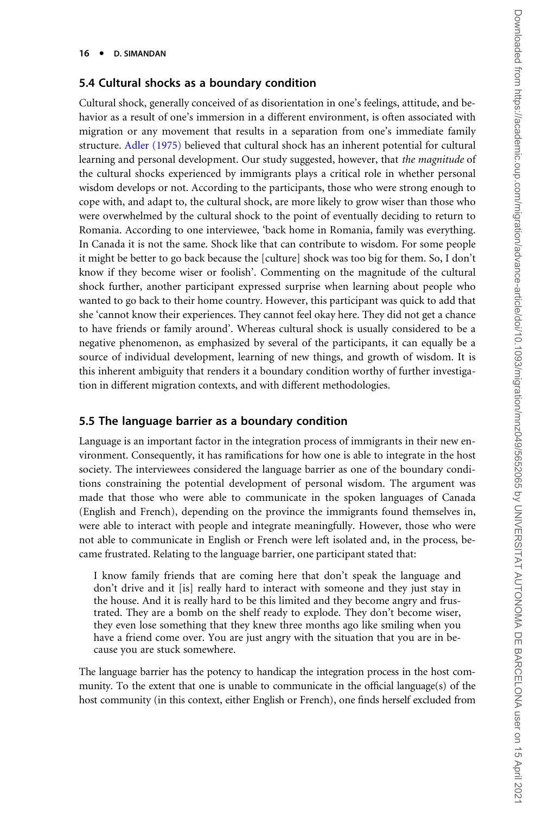#### 5.4 Cultural shocks as a boundary condition

Cultural shock, generally conceived of as disorientation in one's feelings, attitude, and behavior as a result of one's immersion in a different environment, is often associated with migration or any movement that results in a separation from one's immediate family structure. [Adler \(1975\)](#page-18-0) believed that cultural shock has an inherent potential for cultural learning and personal development. Our study suggested, however, that the magnitude of the cultural shocks experienced by immigrants plays a critical role in whether personal wisdom develops or not. According to the participants, those who were strong enough to cope with, and adapt to, the cultural shock, are more likely to grow wiser than those who were overwhelmed by the cultural shock to the point of eventually deciding to return to Romania. According to one interviewee, 'back home in Romania, family was everything. In Canada it is not the same. Shock like that can contribute to wisdom. For some people it might be better to go back because the [culture] shock was too big for them. So, I don't know if they become wiser or foolish'. Commenting on the magnitude of the cultural shock further, another participant expressed surprise when learning about people who wanted to go back to their home country. However, this participant was quick to add that she 'cannot know their experiences. They cannot feel okay here. They did not get a chance to have friends or family around'. Whereas cultural shock is usually considered to be a negative phenomenon, as emphasized by several of the participants, it can equally be a source of individual development, learning of new things, and growth of wisdom. It is this inherent ambiguity that renders it a boundary condition worthy of further investigation in different migration contexts, and with different methodologies.

### 5.5 The language barrier as a boundary condition

Language is an important factor in the integration process of immigrants in their new environment. Consequently, it has ramifications for how one is able to integrate in the host society. The interviewees considered the language barrier as one of the boundary conditions constraining the potential development of personal wisdom. The argument was made that those who were able to communicate in the spoken languages of Canada (English and French), depending on the province the immigrants found themselves in, were able to interact with people and integrate meaningfully. However, those who were not able to communicate in English or French were left isolated and, in the process, became frustrated. Relating to the language barrier, one participant stated that:

I know family friends that are coming here that don't speak the language and don't drive and it [is] really hard to interact with someone and they just stay in the house. And it is really hard to be this limited and they become angry and frustrated. They are a bomb on the shelf ready to explode. They don't become wiser, they even lose something that they knew three months ago like smiling when you have a friend come over. You are just angry with the situation that you are in because you are stuck somewhere.

The language barrier has the potency to handicap the integration process in the host community. To the extent that one is unable to communicate in the official language(s) of the host community (in this context, either English or French), one finds herself excluded from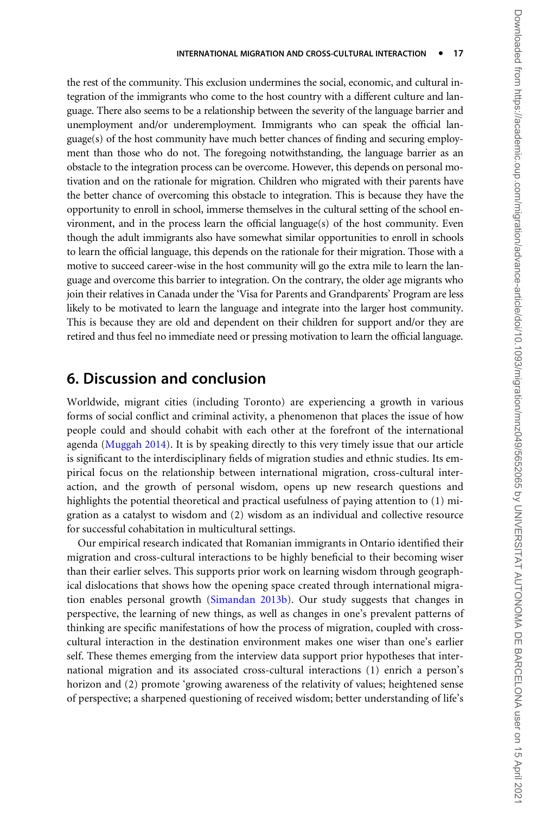the rest of the community. This exclusion undermines the social, economic, and cultural integration of the immigrants who come to the host country with a different culture and language. There also seems to be a relationship between the severity of the language barrier and unemployment and/or underemployment. Immigrants who can speak the official language(s) of the host community have much better chances of finding and securing employment than those who do not. The foregoing notwithstanding, the language barrier as an obstacle to the integration process can be overcome. However, this depends on personal motivation and on the rationale for migration. Children who migrated with their parents have the better chance of overcoming this obstacle to integration. This is because they have the opportunity to enroll in school, immerse themselves in the cultural setting of the school environment, and in the process learn the official language(s) of the host community. Even though the adult immigrants also have somewhat similar opportunities to enroll in schools to learn the official language, this depends on the rationale for their migration. Those with a motive to succeed career-wise in the host community will go the extra mile to learn the language and overcome this barrier to integration. On the contrary, the older age migrants who join their relatives in Canada under the 'Visa for Parents and Grandparents' Program are less likely to be motivated to learn the language and integrate into the larger host community. This is because they are old and dependent on their children for support and/or they are retired and thus feel no immediate need or pressing motivation to learn the official language.

### 6. Discussion and conclusion

Worldwide, migrant cities (including Toronto) are experiencing a growth in various forms of social conflict and criminal activity, a phenomenon that places the issue of how people could and should cohabit with each other at the forefront of the international agenda ([Muggah 2014](#page-20-0)). It is by speaking directly to this very timely issue that our article is significant to the interdisciplinary fields of migration studies and ethnic studies. Its empirical focus on the relationship between international migration, cross-cultural interaction, and the growth of personal wisdom, opens up new research questions and highlights the potential theoretical and practical usefulness of paying attention to (1) migration as a catalyst to wisdom and (2) wisdom as an individual and collective resource for successful cohabitation in multicultural settings.

Our empirical research indicated that Romanian immigrants in Ontario identified their migration and cross-cultural interactions to be highly beneficial to their becoming wiser than their earlier selves. This supports prior work on learning wisdom through geographical dislocations that shows how the opening space created through international migration enables personal growth ([Simandan 2013b](#page-21-0)). Our study suggests that changes in perspective, the learning of new things, as well as changes in one's prevalent patterns of thinking are specific manifestations of how the process of migration, coupled with crosscultural interaction in the destination environment makes one wiser than one's earlier self. These themes emerging from the interview data support prior hypotheses that international migration and its associated cross-cultural interactions (1) enrich a person's horizon and (2) promote 'growing awareness of the relativity of values; heightened sense of perspective; a sharpened questioning of received wisdom; better understanding of life's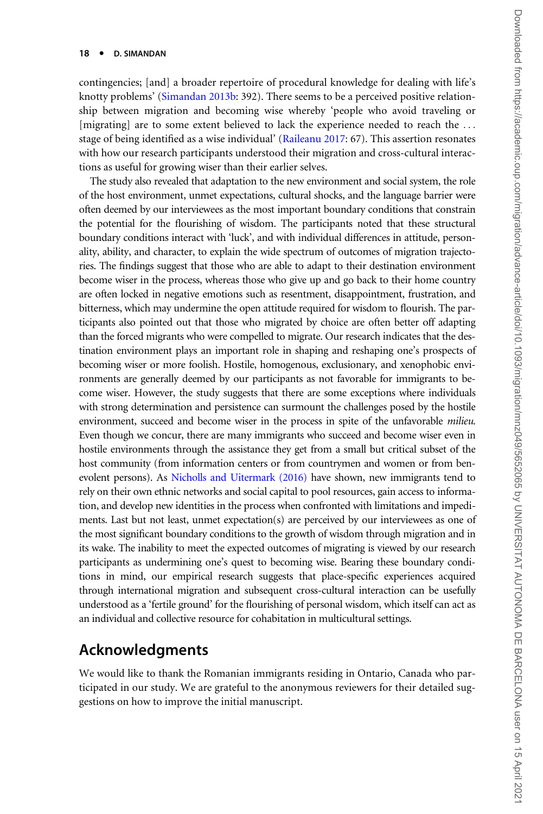contingencies; [and] a broader repertoire of procedural knowledge for dealing with life's knotty problems' ([Simandan 2013b](#page-21-0): 392). There seems to be a perceived positive relationship between migration and becoming wise whereby 'people who avoid traveling or [migrating] are to some extent believed to lack the experience needed to reach the ... stage of being identified as a wise individual' [\(Raileanu 2017](#page-21-0): 67). This assertion resonates with how our research participants understood their migration and cross-cultural interactions as useful for growing wiser than their earlier selves.

The study also revealed that adaptation to the new environment and social system, the role of the host environment, unmet expectations, cultural shocks, and the language barrier were often deemed by our interviewees as the most important boundary conditions that constrain the potential for the flourishing of wisdom. The participants noted that these structural boundary conditions interact with 'luck', and with individual differences in attitude, personality, ability, and character, to explain the wide spectrum of outcomes of migration trajectories. The findings suggest that those who are able to adapt to their destination environment become wiser in the process, whereas those who give up and go back to their home country are often locked in negative emotions such as resentment, disappointment, frustration, and bitterness, which may undermine the open attitude required for wisdom to flourish. The participants also pointed out that those who migrated by choice are often better off adapting than the forced migrants who were compelled to migrate. Our research indicates that the destination environment plays an important role in shaping and reshaping one's prospects of becoming wiser or more foolish. Hostile, homogenous, exclusionary, and xenophobic environments are generally deemed by our participants as not favorable for immigrants to become wiser. However, the study suggests that there are some exceptions where individuals with strong determination and persistence can surmount the challenges posed by the hostile environment, succeed and become wiser in the process in spite of the unfavorable *milieu*. Even though we concur, there are many immigrants who succeed and become wiser even in hostile environments through the assistance they get from a small but critical subset of the host community (from information centers or from countrymen and women or from benevolent persons). As [Nicholls and Uitermark \(2016\)](#page-20-0) have shown, new immigrants tend to rely on their own ethnic networks and social capital to pool resources, gain access to information, and develop new identities in the process when confronted with limitations and impediments. Last but not least, unmet expectation(s) are perceived by our interviewees as one of the most significant boundary conditions to the growth of wisdom through migration and in its wake. The inability to meet the expected outcomes of migrating is viewed by our research participants as undermining one's quest to becoming wise. Bearing these boundary conditions in mind, our empirical research suggests that place-specific experiences acquired through international migration and subsequent cross-cultural interaction can be usefully understood as a 'fertile ground' for the flourishing of personal wisdom, which itself can act as an individual and collective resource for cohabitation in multicultural settings.

### Acknowledgments

We would like to thank the Romanian immigrants residing in Ontario, Canada who participated in our study. We are grateful to the anonymous reviewers for their detailed suggestions on how to improve the initial manuscript.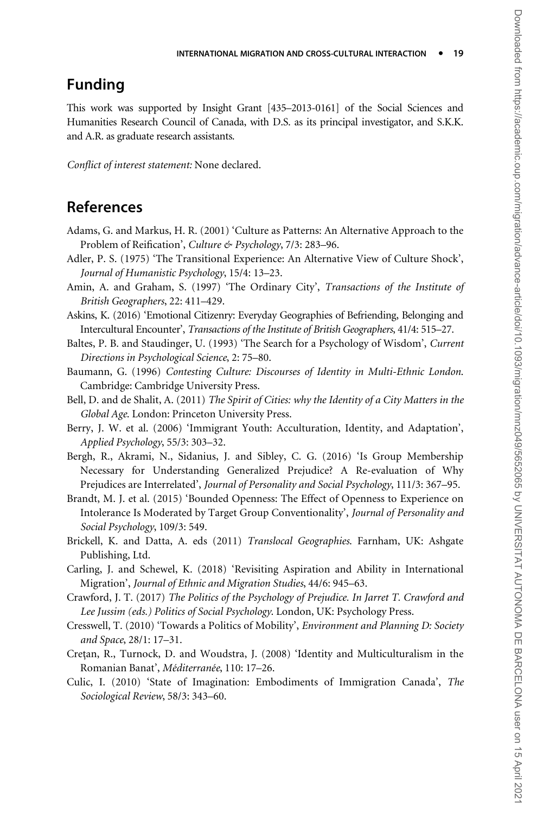### <span id="page-18-0"></span>Funding

This work was supported by Insight Grant [435–2013-0161] of the Social Sciences and Humanities Research Council of Canada, with D.S. as its principal investigator, and S.K.K. and A.R. as graduate research assistants.

Conflict of interest statement: None declared.

### References

- Adams, G. and Markus, H. R. (2001) 'Culture as Patterns: An Alternative Approach to the Problem of Reification', Culture & Psychology, 7/3: 283-96.
- Adler, P. S. (1975) 'The Transitional Experience: An Alternative View of Culture Shock', Journal of Humanistic Psychology, 15/4: 13–23.
- Amin, A. and Graham, S. (1997) 'The Ordinary City', Transactions of the Institute of British Geographers, 22: 411–429.
- Askins, K. (2016) 'Emotional Citizenry: Everyday Geographies of Befriending, Belonging and Intercultural Encounter', Transactions of the Institute of British Geographers, 41/4: 515–27.
- Baltes, P. B. and Staudinger, U. (1993) 'The Search for a Psychology of Wisdom', Current Directions in Psychological Science, 2: 75–80.
- Baumann, G. (1996) Contesting Culture: Discourses of Identity in Multi-Ethnic London. Cambridge: Cambridge University Press.
- Bell, D. and de Shalit, A. (2011) The Spirit of Cities: why the Identity of a City Matters in the Global Age. London: Princeton University Press.
- Berry, J. W. et al. (2006) 'Immigrant Youth: Acculturation, Identity, and Adaptation', Applied Psychology, 55/3: 303–32.
- Bergh, R., Akrami, N., Sidanius, J. and Sibley, C. G. (2016) 'Is Group Membership Necessary for Understanding Generalized Prejudice? A Re-evaluation of Why Prejudices are Interrelated', Journal of Personality and Social Psychology, 111/3: 367–95.
- Brandt, M. J. et al. (2015) 'Bounded Openness: The Effect of Openness to Experience on Intolerance Is Moderated by Target Group Conventionality', Journal of Personality and Social Psychology, 109/3: 549.
- Brickell, K. and Datta, A. eds (2011) Translocal Geographies. Farnham, UK: Ashgate Publishing, Ltd.
- Carling, J. and Schewel, K. (2018) 'Revisiting Aspiration and Ability in International Migration', Journal of Ethnic and Migration Studies, 44/6: 945–63.
- Crawford, J. T. (2017) The Politics of the Psychology of Prejudice. In Jarret T. Crawford and Lee Jussim (eds.) Politics of Social Psychology. London, UK: Psychology Press.
- Cresswell, T. (2010) 'Towards a Politics of Mobility', Environment and Planning D: Society and Space, 28/1: 17–31.
- Cretan, R., Turnock, D. and Woudstra, J. (2008) 'Identity and Multiculturalism in the Romanian Banat', Méditerranée, 110: 17–26.
- Culic, I. (2010) 'State of Imagination: Embodiments of Immigration Canada', The Sociological Review, 58/3: 343–60.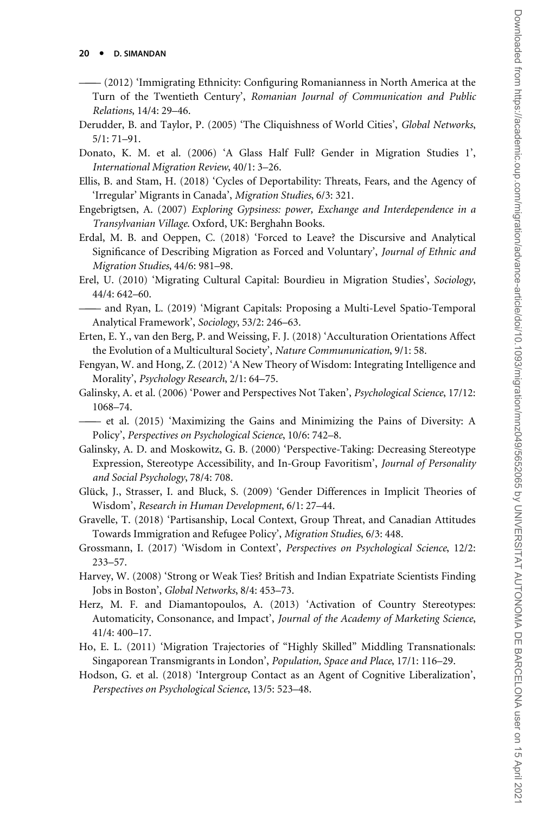- <span id="page-19-0"></span>——— (2012) 'Immigrating Ethnicity: Configuring Romanianness in North America at the Turn of the Twentieth Century', Romanian Journal of Communication and Public Relations, 14/4: 29–46.
- Derudder, B. and Taylor, P. (2005) 'The Cliquishness of World Cities', Global Networks, 5/1: 71–91.
- Donato, K. M. et al. (2006) 'A Glass Half Full? Gender in Migration Studies 1', International Migration Review, 40/1: 3–26.
- Ellis, B. and Stam, H. (2018) 'Cycles of Deportability: Threats, Fears, and the Agency of 'Irregular' Migrants in Canada', Migration Studies, 6/3: 321.
- Engebrigtsen, A. (2007) Exploring Gypsiness: power, Exchange and Interdependence in a Transylvanian Village. Oxford, UK: Berghahn Books.
- Erdal, M. B. and Oeppen, C. (2018) 'Forced to Leave? the Discursive and Analytical Significance of Describing Migration as Forced and Voluntary', Journal of Ethnic and Migration Studies, 44/6: 981–98.
- Erel, U. (2010) 'Migrating Cultural Capital: Bourdieu in Migration Studies', Sociology, 44/4: 642–60.

——— and Ryan, L. (2019) 'Migrant Capitals: Proposing a Multi-Level Spatio-Temporal Analytical Framework', Sociology, 53/2: 246–63.

- Erten, E. Y., van den Berg, P. and Weissing, F. J. (2018) 'Acculturation Orientations Affect the Evolution of a Multicultural Society', Nature Commununication, 9/1: 58.
- Fengyan, W. and Hong, Z. (2012) 'A New Theory of Wisdom: Integrating Intelligence and Morality', Psychology Research, 2/1: 64–75.
- Galinsky, A. et al. (2006) 'Power and Perspectives Not Taken', Psychological Science, 17/12: 1068–74.
- ——— et al. (2015) 'Maximizing the Gains and Minimizing the Pains of Diversity: A Policy', Perspectives on Psychological Science, 10/6: 742–8.
- Galinsky, A. D. and Moskowitz, G. B. (2000) 'Perspective-Taking: Decreasing Stereotype Expression, Stereotype Accessibility, and In-Group Favoritism', Journal of Personality and Social Psychology, 78/4: 708.
- Glück, J., Strasser, I. and Bluck, S. (2009) 'Gender Differences in Implicit Theories of Wisdom', Research in Human Development, 6/1: 27–44.
- Gravelle, T. (2018) 'Partisanship, Local Context, Group Threat, and Canadian Attitudes Towards Immigration and Refugee Policy', Migration Studies, 6/3: 448.
- Grossmann, I. (2017) 'Wisdom in Context', Perspectives on Psychological Science, 12/2: 233–57.
- Harvey, W. (2008) 'Strong or Weak Ties? British and Indian Expatriate Scientists Finding Jobs in Boston', Global Networks, 8/4: 453–73.
- Herz, M. F. and Diamantopoulos, A. (2013) 'Activation of Country Stereotypes: Automaticity, Consonance, and Impact', Journal of the Academy of Marketing Science, 41/4: 400–17.
- Ho, E. L. (2011) 'Migration Trajectories of "Highly Skilled" Middling Transnationals: Singaporean Transmigrants in London', Population, Space and Place, 17/1: 116–29.
- Hodson, G. et al. (2018) 'Intergroup Contact as an Agent of Cognitive Liberalization', Perspectives on Psychological Science, 13/5: 523–48.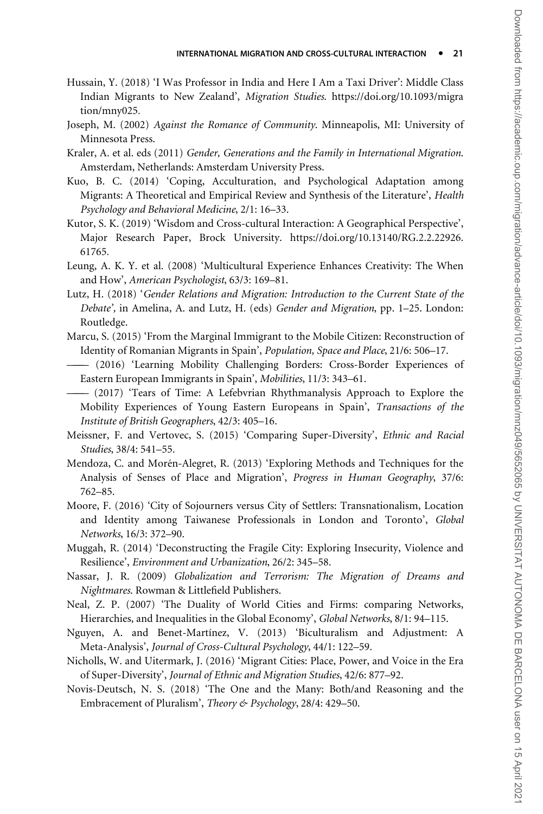- <span id="page-20-0"></span>Hussain, Y. (2018) 'I Was Professor in India and Here I Am a Taxi Driver': Middle Class Indian Migrants to New Zealand', Migration Studies. [https://doi.org/10.1093/migra](https://doi.org/10.1093/migration/mny025) [tion/mny025](https://doi.org/10.1093/migration/mny025).
- Joseph, M. (2002) Against the Romance of Community. Minneapolis, MI: University of Minnesota Press.
- Kraler, A. et al. eds (2011) Gender, Generations and the Family in International Migration. Amsterdam, Netherlands: Amsterdam University Press.
- Kuo, B. C. (2014) 'Coping, Acculturation, and Psychological Adaptation among Migrants: A Theoretical and Empirical Review and Synthesis of the Literature', Health Psychology and Behavioral Medicine, 2/1: 16–33.
- Kutor, S. K. (2019) 'Wisdom and Cross-cultural Interaction: A Geographical Perspective', Major Research Paper, Brock University. [https://doi.org/10.13140/RG.2.2.22926.](https://doi.org/10.13140/RG.2.2.22926.61765) [61765.](https://doi.org/10.13140/RG.2.2.22926.61765)
- Leung, A. K. Y. et al. (2008) 'Multicultural Experience Enhances Creativity: The When and How', American Psychologist, 63/3: 169–81.
- Lutz, H. (2018) 'Gender Relations and Migration: Introduction to the Current State of the Debate', in Amelina, A. and Lutz, H. (eds) Gender and Migration, pp. 1–25. London: Routledge.
- Marcu, S. (2015) 'From the Marginal Immigrant to the Mobile Citizen: Reconstruction of Identity of Romanian Migrants in Spain', Population, Space and Place, 21/6: 506–17.
- ——— (2016) 'Learning Mobility Challenging Borders: Cross-Border Experiences of Eastern European Immigrants in Spain', Mobilities, 11/3: 343–61.
- ——— (2017) 'Tears of Time: A Lefebvrian Rhythmanalysis Approach to Explore the Mobility Experiences of Young Eastern Europeans in Spain', Transactions of the Institute of British Geographers, 42/3: 405–16.
- Meissner, F. and Vertovec, S. (2015) 'Comparing Super-Diversity', Ethnic and Racial Studies, 38/4: 541–55.
- Mendoza, C. and Morén-Alegret, R. (2013) 'Exploring Methods and Techniques for the Analysis of Senses of Place and Migration', Progress in Human Geography, 37/6: 762–85.
- Moore, F. (2016) 'City of Sojourners versus City of Settlers: Transnationalism, Location and Identity among Taiwanese Professionals in London and Toronto', Global Networks, 16/3: 372–90.
- Muggah, R. (2014) 'Deconstructing the Fragile City: Exploring Insecurity, Violence and Resilience', Environment and Urbanization, 26/2: 345–58.
- Nassar, J. R. (2009) Globalization and Terrorism: The Migration of Dreams and Nightmares. Rowman & Littlefield Publishers.
- Neal, Z. P. (2007) 'The Duality of World Cities and Firms: comparing Networks, Hierarchies, and Inequalities in the Global Economy', Global Networks, 8/1: 94–115.
- Nguyen, A. and Benet-Martínez, V. (2013) 'Biculturalism and Adjustment: A Meta-Analysis', Journal of Cross-Cultural Psychology, 44/1: 122–59.
- Nicholls, W. and Uitermark, J. (2016) 'Migrant Cities: Place, Power, and Voice in the Era of Super-Diversity', Journal of Ethnic and Migration Studies, 42/6: 877–92.
- Novis-Deutsch, N. S. (2018) 'The One and the Many: Both/and Reasoning and the Embracement of Pluralism', Theory & Psychology, 28/4: 429-50.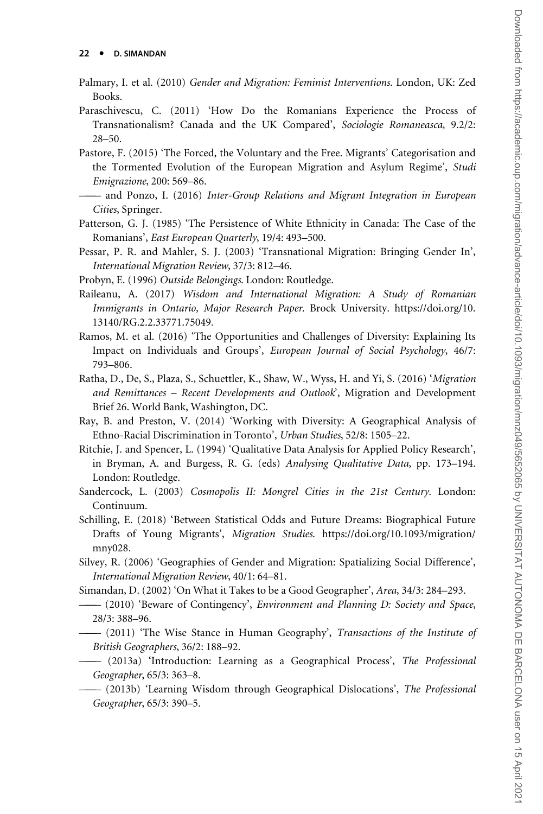- <span id="page-21-0"></span>Palmary, I. et al. (2010) Gender and Migration: Feminist Interventions. London, UK: Zed Books.
- Paraschivescu, C. (2011) 'How Do the Romanians Experience the Process of Transnationalism? Canada and the UK Compared', Sociologie Romaneasca, 9.2/2: 28–50.
- Pastore, F. (2015) 'The Forced, the Voluntary and the Free. Migrants' Categorisation and the Tormented Evolution of the European Migration and Asylum Regime', Studi Emigrazione, 200: 569–86.
- ——— and Ponzo, I. (2016) Inter-Group Relations and Migrant Integration in European Cities, Springer.
- Patterson, G. J. (1985) 'The Persistence of White Ethnicity in Canada: The Case of the Romanians', East European Quarterly, 19/4: 493–500.
- Pessar, P. R. and Mahler, S. J. (2003) 'Transnational Migration: Bringing Gender In', International Migration Review, 37/3: 812–46.
- Probyn, E. (1996) Outside Belongings. London: Routledge.
- Raileanu, A. (2017) Wisdom and International Migration: A Study of Romanian Immigrants in Ontario, Major Research Paper. Brock University. [https://doi.org/10.](https://doi.org/10.13140/RG.2.2.33771.75049) [13140/RG.2.2.33771.75049](https://doi.org/10.13140/RG.2.2.33771.75049).
- Ramos, M. et al. (2016) 'The Opportunities and Challenges of Diversity: Explaining Its Impact on Individuals and Groups', European Journal of Social Psychology, 46/7: 793–806.
- Ratha, D., De, S., Plaza, S., Schuettler, K., Shaw, W., Wyss, H. and Yi, S. (2016) 'Migration and Remittances – Recent Developments and Outlook', Migration and Development Brief 26. World Bank, Washington, DC.
- Ray, B. and Preston, V. (2014) 'Working with Diversity: A Geographical Analysis of Ethno-Racial Discrimination in Toronto', Urban Studies, 52/8: 1505–22.
- Ritchie, J. and Spencer, L. (1994) 'Qualitative Data Analysis for Applied Policy Research', in Bryman, A. and Burgess, R. G. (eds) Analysing Qualitative Data, pp. 173–194. London: Routledge.
- Sandercock, L. (2003) Cosmopolis II: Mongrel Cities in the 21st Century. London: Continuum.
- Schilling, E. (2018) 'Between Statistical Odds and Future Dreams: Biographical Future Drafts of Young Migrants', Migration Studies. [https://doi.org/10.1093/migration/](https://doi.org/10.1093/migration/mny028) [mny028.](https://doi.org/10.1093/migration/mny028)
- Silvey, R. (2006) 'Geographies of Gender and Migration: Spatializing Social Difference', International Migration Review, 40/1: 64–81.
- Simandan, D. (2002) 'On What it Takes to be a Good Geographer', Area, 34/3: 284–293.
- ——— (2010) 'Beware of Contingency', Environment and Planning D: Society and Space, 28/3: 388–96.
- ——— (2011) 'The Wise Stance in Human Geography', Transactions of the Institute of British Geographers, 36/2: 188–92.
- ——— (2013a) 'Introduction: Learning as a Geographical Process', The Professional Geographer, 65/3: 363–8.
- (2013b) 'Learning Wisdom through Geographical Dislocations', The Professional Geographer, 65/3: 390–5.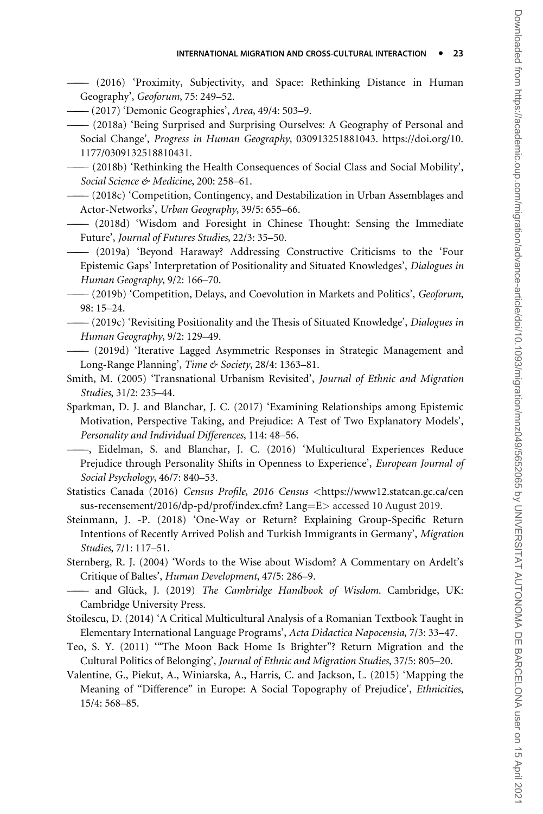<span id="page-22-0"></span>——— (2016) 'Proximity, Subjectivity, and Space: Rethinking Distance in Human Geography', Geoforum, 75: 249–52.

— (2017) 'Demonic Geographies', Area, 49/4: 503–9.

- ——— (2018a) 'Being Surprised and Surprising Ourselves: A Geography of Personal and Social Change', Progress in Human Geography, 030913251881043. [https://doi.org/10.](https://doi.org/10.1177/0309132518810431) [1177/0309132518810431](https://doi.org/10.1177/0309132518810431).
- ——— (2018b) 'Rethinking the Health Consequences of Social Class and Social Mobility', Social Science & Medicine, 200: 258-61.
- ——— (2018c) 'Competition, Contingency, and Destabilization in Urban Assemblages and Actor-Networks', Urban Geography, 39/5: 655–66.
- ——— (2018d) 'Wisdom and Foresight in Chinese Thought: Sensing the Immediate Future', Journal of Futures Studies, 22/3: 35–50.
- ——— (2019a) 'Beyond Haraway? Addressing Constructive Criticisms to the 'Four Epistemic Gaps' Interpretation of Positionality and Situated Knowledges', Dialogues in Human Geography, 9/2: 166–70.

——— (2019b) 'Competition, Delays, and Coevolution in Markets and Politics', Geoforum, 98: 15–24.

- (2019c) 'Revisiting Positionality and the Thesis of Situated Knowledge', Dialogues in Human Geography, 9/2: 129–49.
- ——— (2019d) 'Iterative Lagged Asymmetric Responses in Strategic Management and Long-Range Planning', Time & Society, 28/4: 1363–81.
- Smith, M. (2005) 'Transnational Urbanism Revisited', Journal of Ethnic and Migration Studies, 31/2: 235–44.

Sparkman, D. J. and Blanchar, J. C. (2017) 'Examining Relationships among Epistemic Motivation, Perspective Taking, and Prejudice: A Test of Two Explanatory Models', Personality and Individual Differences, 114: 48–56.

———, Eidelman, S. and Blanchar, J. C. (2016) 'Multicultural Experiences Reduce Prejudice through Personality Shifts in Openness to Experience', European Journal of Social Psychology, 46/7: 840–53.

Statistics Canada (2016) Census Profile, 2016 Census <[https://www12.statcan.gc.ca/cen](https://www12.statcan.gc.ca/census-recensement/2016/dp-pd/prof/index.cfm? Lang=E) [sus-recensement/2016/dp-pd/prof/index.cfm? Lang](https://www12.statcan.gc.ca/census-recensement/2016/dp-pd/prof/index.cfm? Lang=E)=[E](https://www12.statcan.gc.ca/census-recensement/2016/dp-pd/prof/index.cfm? Lang=E)> accessed 10 August 2019.

- Steinmann, J. -P. (2018) 'One-Way or Return? Explaining Group-Specific Return Intentions of Recently Arrived Polish and Turkish Immigrants in Germany', Migration Studies, 7/1: 117–51.
- Sternberg, R. J. (2004) 'Words to the Wise about Wisdom? A Commentary on Ardelt's Critique of Baltes', Human Development, 47/5: 286–9.

—— and Glück, J. (2019) The Cambridge Handbook of Wisdom. Cambridge, UK: Cambridge University Press.

- Stoilescu, D. (2014) 'A Critical Multicultural Analysis of a Romanian Textbook Taught in Elementary International Language Programs', Acta Didactica Napocensia, 7/3: 33–47.
- Teo, S. Y. (2011) '"The Moon Back Home Is Brighter"? Return Migration and the Cultural Politics of Belonging', Journal of Ethnic and Migration Studies, 37/5: 805–20.
- Valentine, G., Piekut, A., Winiarska, A., Harris, C. and Jackson, L. (2015) 'Mapping the Meaning of "Difference" in Europe: A Social Topography of Prejudice', Ethnicities, 15/4: 568–85.